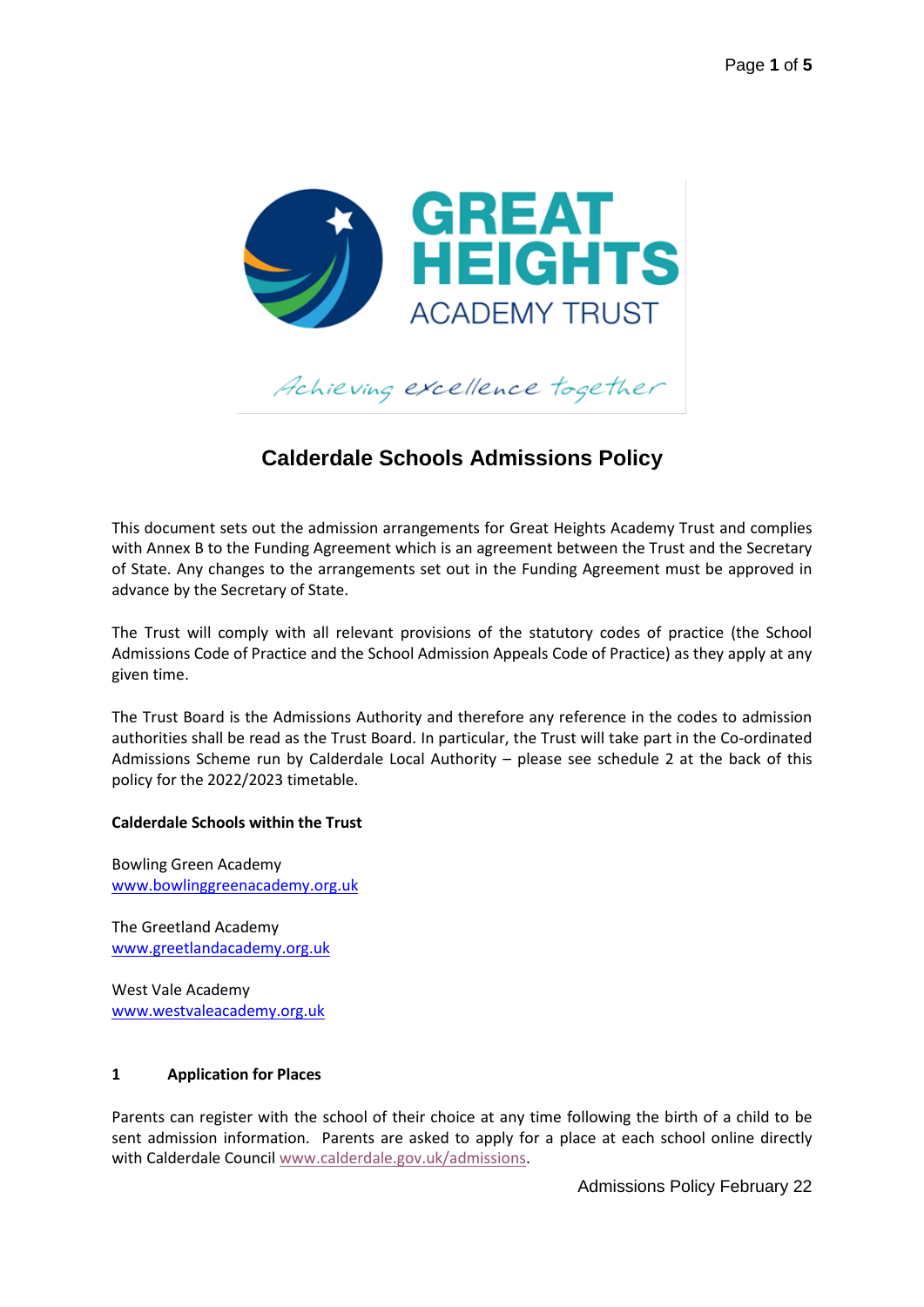

Achieving excellence together

# **Calderdale Schools Admissions Policy**

This document sets out the admission arrangements for Great Heights Academy Trust and complies with Annex B to the Funding Agreement which is an agreement between the Trust and the Secretary of State. Any changes to the arrangements set out in the Funding Agreement must be approved in advance by the Secretary of State.

The Trust will comply with all relevant provisions of the statutory codes of practice (the School Admissions Code of Practice and the School Admission Appeals Code of Practice) as they apply at any given time.

The Trust Board is the Admissions Authority and therefore any reference in the codes to admission authorities shall be read as the Trust Board. In particular, the Trust will take part in the Co-ordinated Admissions Scheme run by Calderdale Local Authority – please see schedule 2 at the back of this policy for the 2022/2023 timetable.

#### **Calderdale Schools within the Trust**

Bowling Green Academy [www.bowlinggreenacademy.org.uk](http://www.bowlinggreenacademy.org.uk/)

The Greetland Academy [www.greetlandacademy.org.uk](http://www.greetlandacademy.org.uk/)

West Vale Academy [www.westvaleacademy.org.uk](http://www.westvaleacademy.org.uk/)

#### **1 Application for Places**

Parents can register with the school of their choice at any time following the birth of a child to be sent admission information. Parents are asked to apply for a place at each school online directly with Calderdale Council [www.calderdale.gov.uk/admissions.](http://www.calderdale.gov.uk/admissions)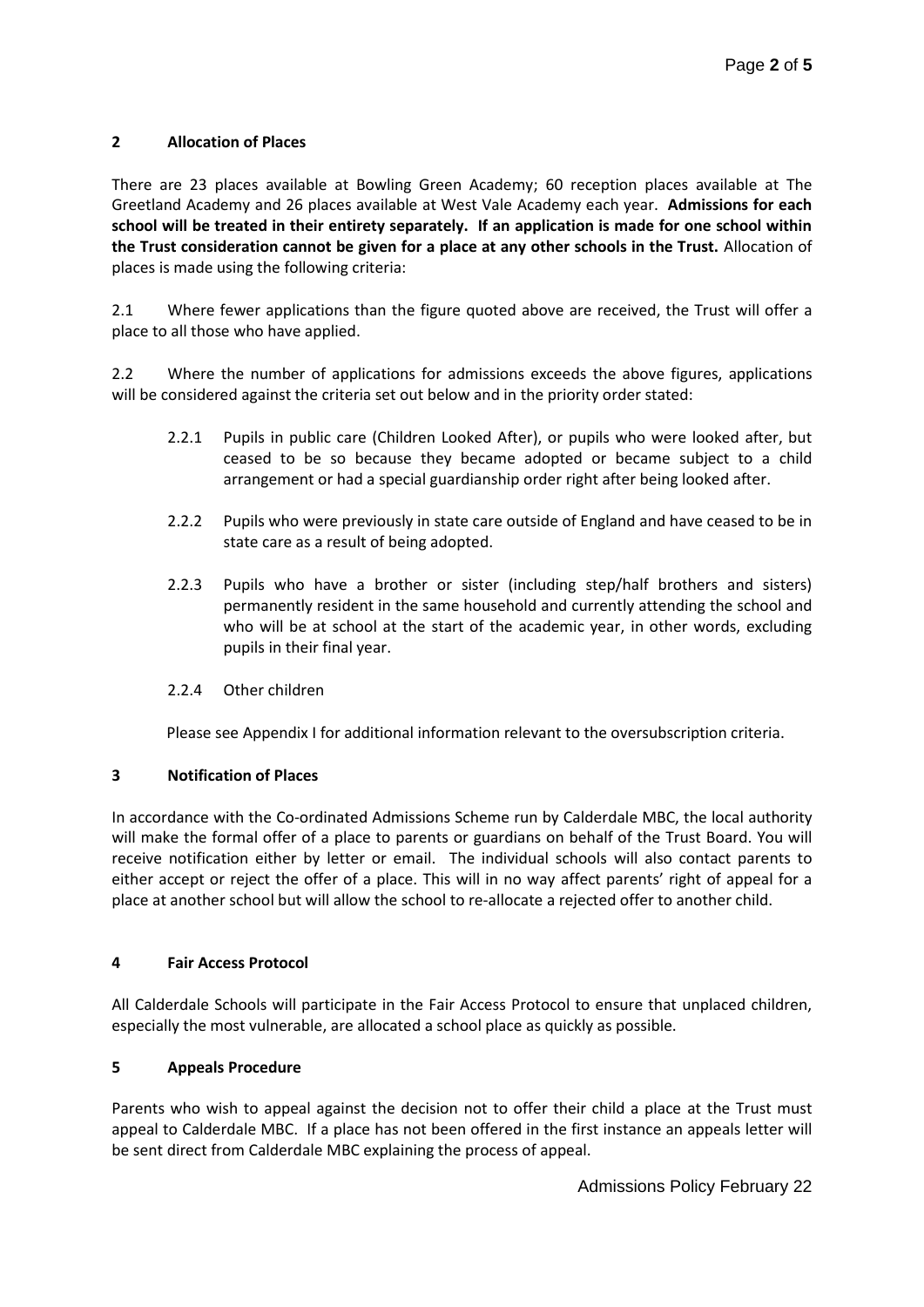### **2 Allocation of Places**

There are 23 places available at Bowling Green Academy; 60 reception places available at The Greetland Academy and 26 places available at West Vale Academy each year. **Admissions for each school will be treated in their entirety separately. If an application is made for one school within the Trust consideration cannot be given for a place at any other schools in the Trust.** Allocation of places is made using the following criteria:

2.1 Where fewer applications than the figure quoted above are received, the Trust will offer a place to all those who have applied.

2.2 Where the number of applications for admissions exceeds the above figures, applications will be considered against the criteria set out below and in the priority order stated:

- 2.2.1 Pupils in public care (Children Looked After), or pupils who were looked after, but ceased to be so because they became adopted or became subject to a child arrangement or had a special guardianship order right after being looked after.
- 2.2.2 Pupils who were previously in state care outside of England and have ceased to be in state care as a result of being adopted.
- 2.2.3 Pupils who have a brother or sister (including step/half brothers and sisters) permanently resident in the same household and currently attending the school and who will be at school at the start of the academic year, in other words, excluding pupils in their final year.

#### 2.2.4 Other children

Please see Appendix I for additional information relevant to the oversubscription criteria.

# **3 Notification of Places**

In accordance with the Co-ordinated Admissions Scheme run by Calderdale MBC, the local authority will make the formal offer of a place to parents or guardians on behalf of the Trust Board. You will receive notification either by letter or email. The individual schools will also contact parents to either accept or reject the offer of a place. This will in no way affect parents' right of appeal for a place at another school but will allow the school to re-allocate a rejected offer to another child.

# **4 Fair Access Protocol**

All Calderdale Schools will participate in the Fair Access Protocol to ensure that unplaced children, especially the most vulnerable, are allocated a school place as quickly as possible.

# **5 Appeals Procedure**

Parents who wish to appeal against the decision not to offer their child a place at the Trust must appeal to Calderdale MBC. If a place has not been offered in the first instance an appeals letter will be sent direct from Calderdale MBC explaining the process of appeal.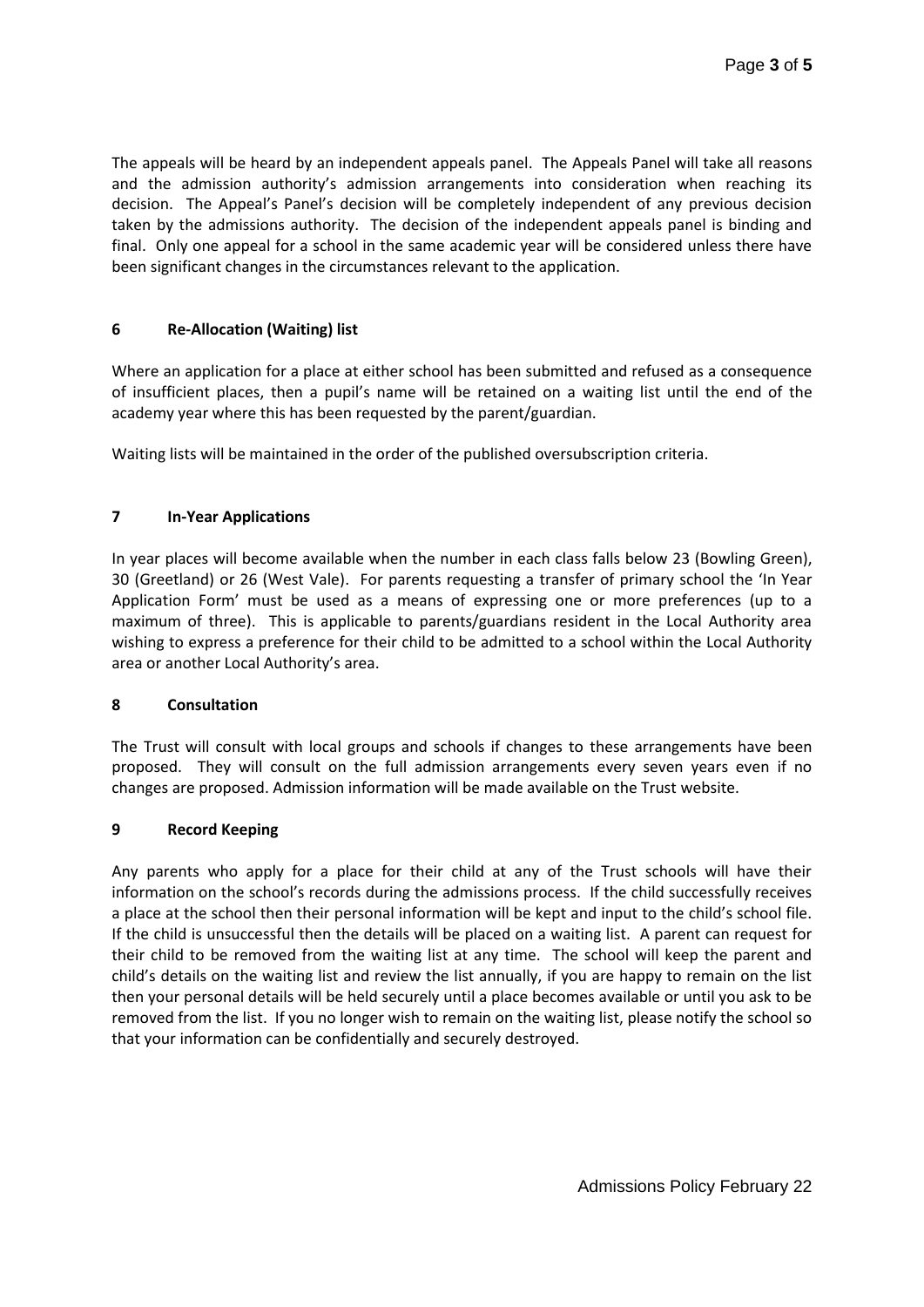The appeals will be heard by an independent appeals panel. The Appeals Panel will take all reasons and the admission authority's admission arrangements into consideration when reaching its decision. The Appeal's Panel's decision will be completely independent of any previous decision taken by the admissions authority. The decision of the independent appeals panel is binding and final. Only one appeal for a school in the same academic year will be considered unless there have been significant changes in the circumstances relevant to the application.

### **6 Re-Allocation (Waiting) list**

Where an application for a place at either school has been submitted and refused as a consequence of insufficient places, then a pupil's name will be retained on a waiting list until the end of the academy year where this has been requested by the parent/guardian.

Waiting lists will be maintained in the order of the published oversubscription criteria.

### **7 In-Year Applications**

In year places will become available when the number in each class falls below 23 (Bowling Green), 30 (Greetland) or 26 (West Vale). For parents requesting a transfer of primary school the 'In Year Application Form' must be used as a means of expressing one or more preferences (up to a maximum of three). This is applicable to parents/guardians resident in the Local Authority area wishing to express a preference for their child to be admitted to a school within the Local Authority area or another Local Authority's area.

#### **8 Consultation**

The Trust will consult with local groups and schools if changes to these arrangements have been proposed. They will consult on the full admission arrangements every seven years even if no changes are proposed. Admission information will be made available on the Trust website.

#### **9 Record Keeping**

Any parents who apply for a place for their child at any of the Trust schools will have their information on the school's records during the admissions process. If the child successfully receives a place at the school then their personal information will be kept and input to the child's school file. If the child is unsuccessful then the details will be placed on a waiting list. A parent can request for their child to be removed from the waiting list at any time. The school will keep the parent and child's details on the waiting list and review the list annually, if you are happy to remain on the list then your personal details will be held securely until a place becomes available or until you ask to be removed from the list. If you no longer wish to remain on the waiting list, please notify the school so that your information can be confidentially and securely destroyed.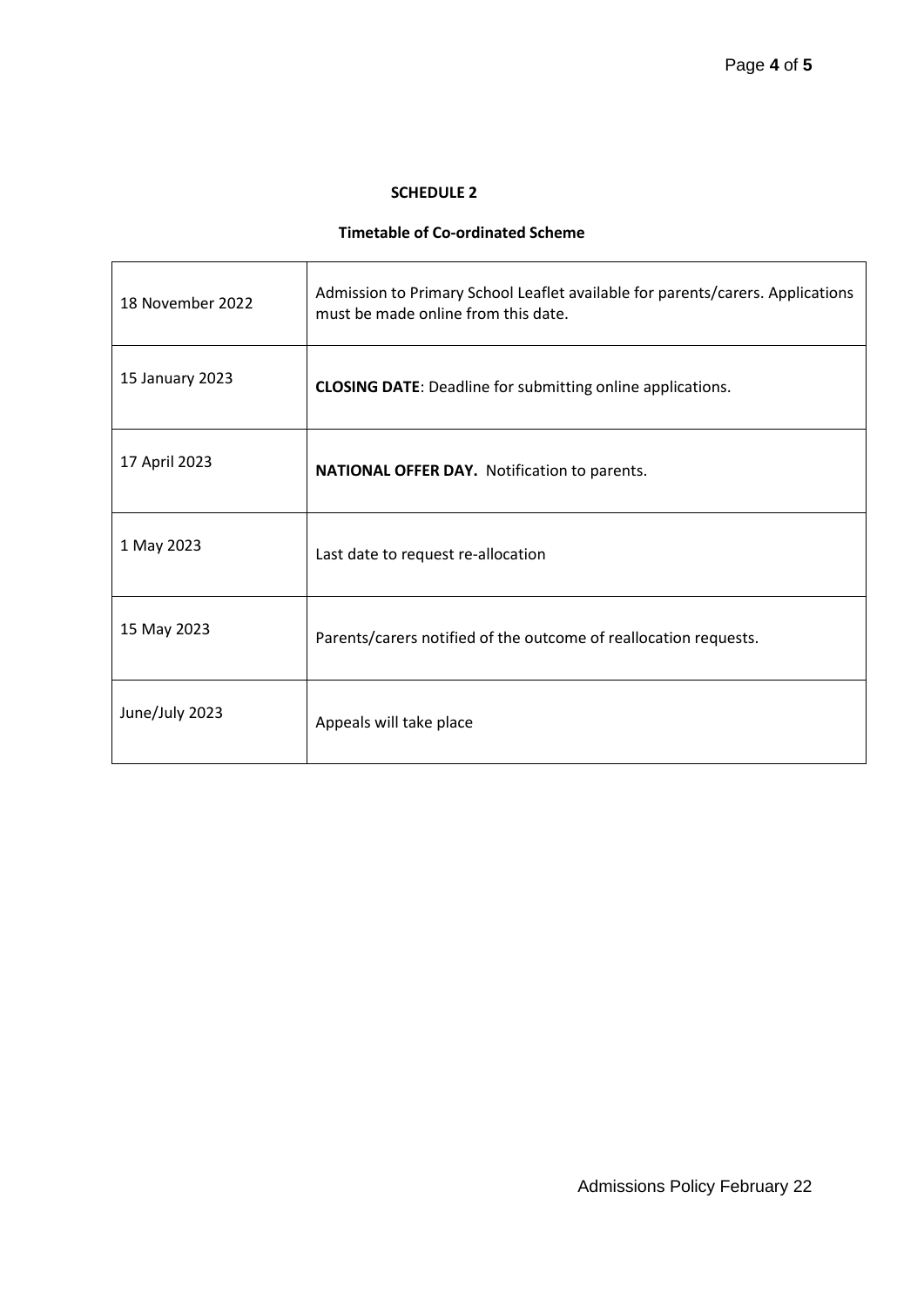### **SCHEDULE 2**

### **Timetable of Co-ordinated Scheme**

| 18 November 2022 | Admission to Primary School Leaflet available for parents/carers. Applications<br>must be made online from this date. |
|------------------|-----------------------------------------------------------------------------------------------------------------------|
| 15 January 2023  | <b>CLOSING DATE:</b> Deadline for submitting online applications.                                                     |
| 17 April 2023    | NATIONAL OFFER DAY. Notification to parents.                                                                          |
| 1 May 2023       | Last date to request re-allocation                                                                                    |
| 15 May 2023      | Parents/carers notified of the outcome of reallocation requests.                                                      |
| June/July 2023   | Appeals will take place                                                                                               |